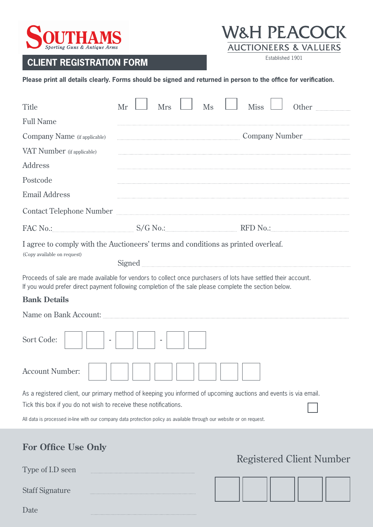

## Established 1901 **CLIENT REGISTRATION FORM**



**Please print all details clearly. Forms should be signed and returned in person to the office for verification.**

| Title                                                                                                                                                                                                                          | Mr | <b>Mrs</b> | Ms | <b>Miss</b> | Other                           |  |
|--------------------------------------------------------------------------------------------------------------------------------------------------------------------------------------------------------------------------------|----|------------|----|-------------|---------------------------------|--|
| <b>Full Name</b>                                                                                                                                                                                                               |    |            |    |             |                                 |  |
| Company Name (if applicable)                                                                                                                                                                                                   |    |            |    |             |                                 |  |
| VAT Number (if applicable)                                                                                                                                                                                                     |    |            |    |             |                                 |  |
| <b>Address</b>                                                                                                                                                                                                                 |    |            |    |             |                                 |  |
| Postcode                                                                                                                                                                                                                       |    |            |    |             |                                 |  |
| <b>Email Address</b>                                                                                                                                                                                                           |    |            |    |             |                                 |  |
| Contact Telephone Number <b>Mark and Contact Telephone</b> Number <b>Mark and Contact Telephone</b>                                                                                                                            |    |            |    |             |                                 |  |
| FAC No.: S/G No.: S/G No.: RFD No.: RED No.: RED No.: RED No.: RED No.: RED No.: RED No.: RED No.: RED No.: RED No.: RED No.: RED No.: RED No.: RED No.: RED No.: RED No.: RED No.: RED No.: RED No.: RED No.: RED No.: RED No |    |            |    |             |                                 |  |
| I agree to comply with the Auctioneers' terms and conditions as printed overleaf.<br>(Copy available on request)                                                                                                               |    |            |    |             |                                 |  |
| Proceeds of sale are made available for vendors to collect once purchasers of lots have settled their account.<br>If you would prefer direct payment following completion of the sale please complete the section below.       |    |            |    |             |                                 |  |
| <b>Bank Details</b>                                                                                                                                                                                                            |    |            |    |             |                                 |  |
| Name on Bank Account: <b>Market Account:</b> 2014                                                                                                                                                                              |    |            |    |             |                                 |  |
| Sort Code:                                                                                                                                                                                                                     |    |            |    |             |                                 |  |
| <b>Account Number:</b>                                                                                                                                                                                                         |    |            |    |             |                                 |  |
| As a registered client, our primary method of keeping you informed of upcoming auctions and events is via email.<br>Tick this box if you do not wish to receive these notifications.                                           |    |            |    |             |                                 |  |
| All data is processed in-line with our company data protection policy as available through our website or on request.                                                                                                          |    |            |    |             |                                 |  |
| <b>For Office Use Only</b>                                                                                                                                                                                                     |    |            |    |             | <b>Registered Client Number</b> |  |
| Type of I.D seen                                                                                                                                                                                                               |    |            |    |             |                                 |  |

Staff Signature

 $\ddot{\phantom{0}}$ 

Date